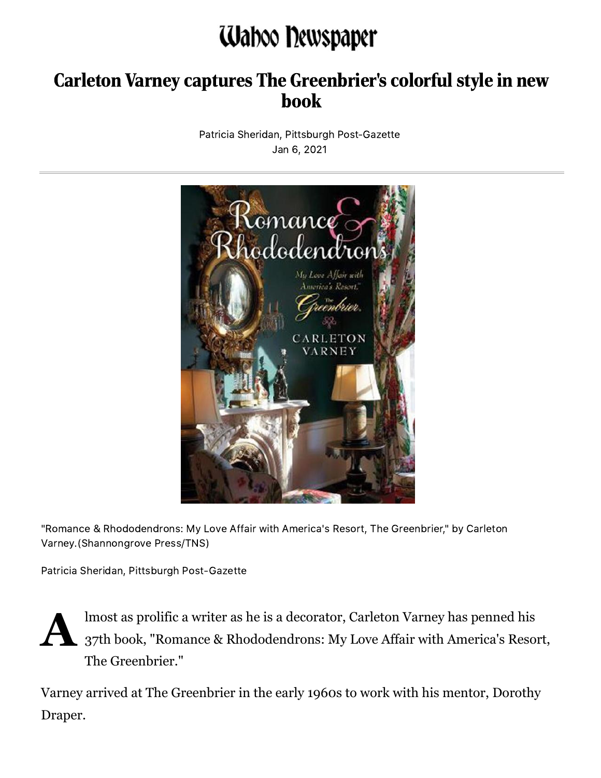## Waboo Dewspaper

## Carleton Varney captures The Greenbrier's colorful style in new book

Patricia Sheridan, Pittsburgh Post-Gazette Jan 6, 2021



"Romance & Rhododendrons: My Love Affair with America's Resort, The Greenbrier," by Carleton Varney.(Shannongrove Press/TNS)

Patricia Sheridan, Pittsburgh Post-Gazette



lmost as prolific a writer as he is a decorator, Carleton Varney has penned his 37th book, "Romance & Rhododendrons: My Love Affair with America's Resort, The Greenbrier."

Varney arrived at The Greenbrier in the early 1960s to work with his mentor, Dorothy Draper.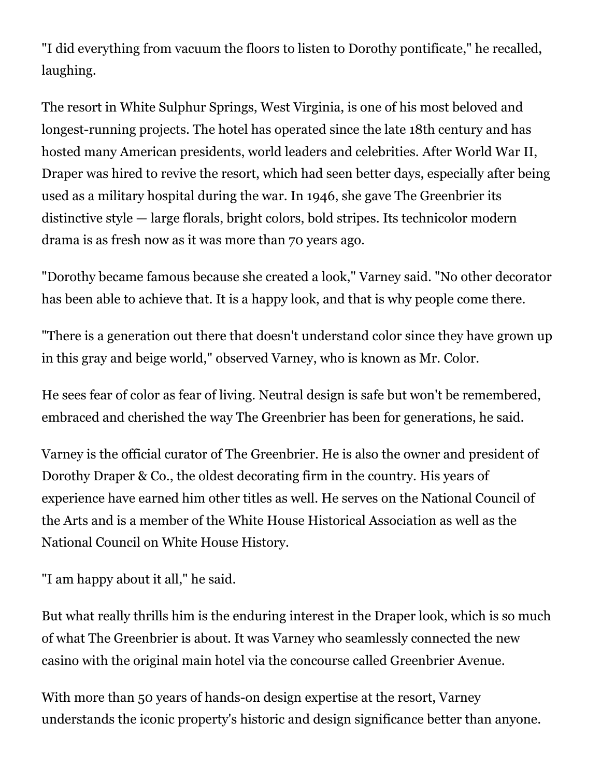"I did everything from vacuum the floors to listen to Dorothy pontificate," he recalled, laughing.

The resort in White Sulphur Springs, West Virginia, is one of his most beloved and longest-running projects. The hotel has operated since the late 18th century and has hosted many American presidents, world leaders and celebrities. After World War II, Draper was hired to revive the resort, which had seen better days, especially after being used as a military hospital during the war. In 1946, she gave The Greenbrier its distinctive style — large florals, bright colors, bold stripes. Its technicolor modern drama is as fresh now as it was more than 70 years ago.

"Dorothy became famous because she created a look," Varney said. "No other decorator has been able to achieve that. It is a happy look, and that is why people come there.

"There is a generation out there that doesn't understand color since they have grown up in this gray and beige world," observed Varney, who is known as Mr. Color.

He sees fear of color as fear of living. Neutral design is safe but won't be remembered, embraced and cherished the way The Greenbrier has been for generations, he said.

Varney is the official curator of The Greenbrier. He is also the owner and president of Dorothy Draper & Co., the oldest decorating firm in the country. His years of experience have earned him other titles as well. He serves on the National Council of the Arts and is a member of the White House Historical Association as well as the National Council on White House History.

```
"I am happy about it all," he said.
```
But what really thrills him is the enduring interest in the Draper look, which is so much of what The Greenbrier is about. It was Varney who seamlessly connected the new casino with the original main hotel via the concourse called Greenbrier Avenue.

With more than 50 years of hands-on design expertise at the resort, Varney understands the iconic property's historic and design significance better than anyone.